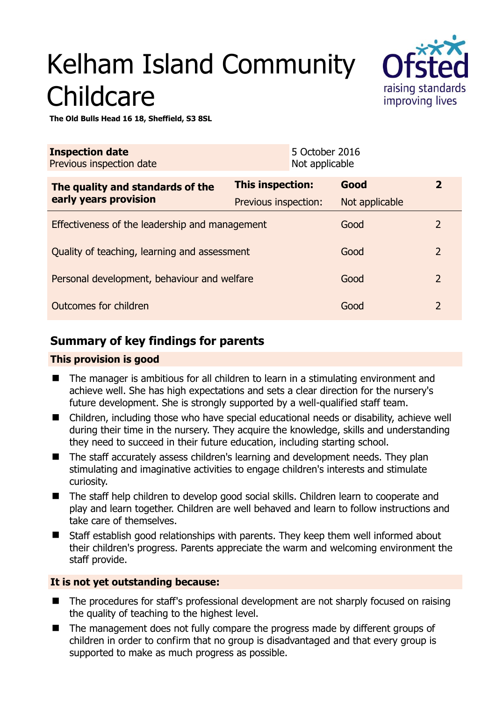# Kelham Island Community **Childcare**



**The Old Bulls Head 16 18, Sheffield, S3 8SL** 

| <b>Inspection date</b><br>Previous inspection date |                      | 5 October 2016<br>Not applicable |                |                |
|----------------------------------------------------|----------------------|----------------------------------|----------------|----------------|
| The quality and standards of the                   | This inspection:     |                                  | Good           | $\overline{2}$ |
| early years provision                              | Previous inspection: |                                  | Not applicable |                |
| Effectiveness of the leadership and management     |                      |                                  | Good           | $\overline{2}$ |
| Quality of teaching, learning and assessment       |                      |                                  | Good           | $\overline{2}$ |
| Personal development, behaviour and welfare        |                      |                                  | Good           | $\overline{2}$ |
| Outcomes for children                              |                      |                                  | Good           | $\overline{2}$ |

# **Summary of key findings for parents**

# **This provision is good**

- The manager is ambitious for all children to learn in a stimulating environment and achieve well. She has high expectations and sets a clear direction for the nursery's future development. She is strongly supported by a well-qualified staff team.
- Children, including those who have special educational needs or disability, achieve well during their time in the nursery. They acquire the knowledge, skills and understanding they need to succeed in their future education, including starting school.
- The staff accurately assess children's learning and development needs. They plan stimulating and imaginative activities to engage children's interests and stimulate curiosity.
- The staff help children to develop good social skills. Children learn to cooperate and play and learn together. Children are well behaved and learn to follow instructions and take care of themselves.
- Staff establish good relationships with parents. They keep them well informed about their children's progress. Parents appreciate the warm and welcoming environment the staff provide.

# **It is not yet outstanding because:**

- The procedures for staff's professional development are not sharply focused on raising the quality of teaching to the highest level.
- The management does not fully compare the progress made by different groups of children in order to confirm that no group is disadvantaged and that every group is supported to make as much progress as possible.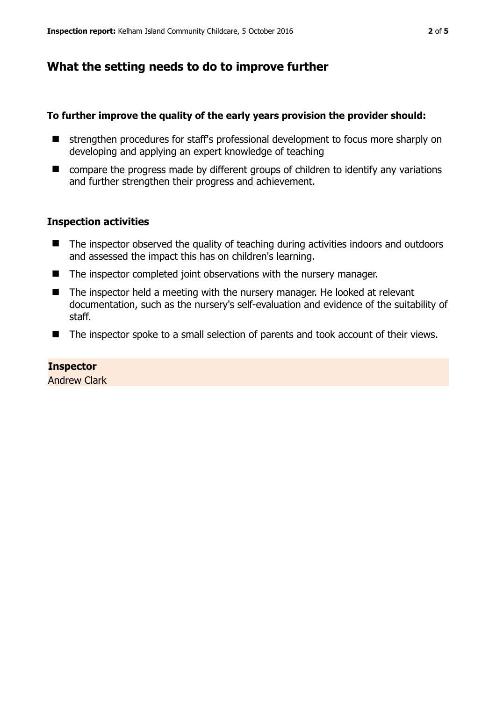# **What the setting needs to do to improve further**

### **To further improve the quality of the early years provision the provider should:**

- strengthen procedures for staff's professional development to focus more sharply on developing and applying an expert knowledge of teaching
- compare the progress made by different groups of children to identify any variations and further strengthen their progress and achievement.

# **Inspection activities**

- The inspector observed the quality of teaching during activities indoors and outdoors and assessed the impact this has on children's learning.
- The inspector completed joint observations with the nursery manager.
- The inspector held a meeting with the nursery manager. He looked at relevant documentation, such as the nursery's self-evaluation and evidence of the suitability of staff.
- The inspector spoke to a small selection of parents and took account of their views.

#### **Inspector**

Andrew Clark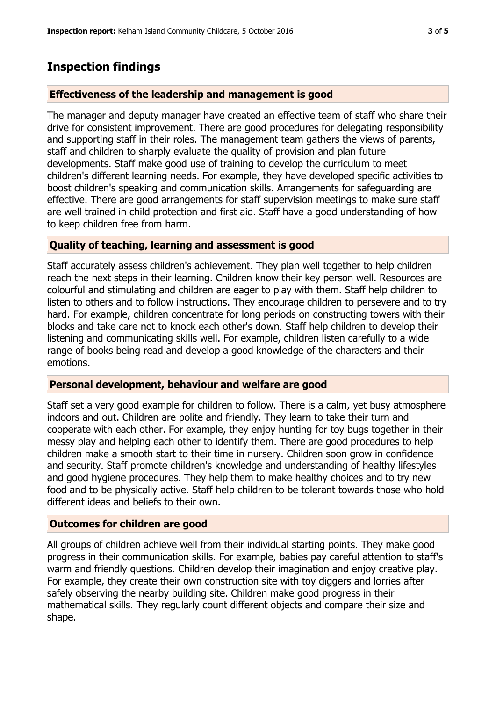# **Inspection findings**

# **Effectiveness of the leadership and management is good**

The manager and deputy manager have created an effective team of staff who share their drive for consistent improvement. There are good procedures for delegating responsibility and supporting staff in their roles. The management team gathers the views of parents, staff and children to sharply evaluate the quality of provision and plan future developments. Staff make good use of training to develop the curriculum to meet children's different learning needs. For example, they have developed specific activities to boost children's speaking and communication skills. Arrangements for safeguarding are effective. There are good arrangements for staff supervision meetings to make sure staff are well trained in child protection and first aid. Staff have a good understanding of how to keep children free from harm.

# **Quality of teaching, learning and assessment is good**

Staff accurately assess children's achievement. They plan well together to help children reach the next steps in their learning. Children know their key person well. Resources are colourful and stimulating and children are eager to play with them. Staff help children to listen to others and to follow instructions. They encourage children to persevere and to try hard. For example, children concentrate for long periods on constructing towers with their blocks and take care not to knock each other's down. Staff help children to develop their listening and communicating skills well. For example, children listen carefully to a wide range of books being read and develop a good knowledge of the characters and their emotions.

# **Personal development, behaviour and welfare are good**

Staff set a very good example for children to follow. There is a calm, yet busy atmosphere indoors and out. Children are polite and friendly. They learn to take their turn and cooperate with each other. For example, they enjoy hunting for toy bugs together in their messy play and helping each other to identify them. There are good procedures to help children make a smooth start to their time in nursery. Children soon grow in confidence and security. Staff promote children's knowledge and understanding of healthy lifestyles and good hygiene procedures. They help them to make healthy choices and to try new food and to be physically active. Staff help children to be tolerant towards those who hold different ideas and beliefs to their own.

# **Outcomes for children are good**

All groups of children achieve well from their individual starting points. They make good progress in their communication skills. For example, babies pay careful attention to staff's warm and friendly questions. Children develop their imagination and enjoy creative play. For example, they create their own construction site with toy diggers and lorries after safely observing the nearby building site. Children make good progress in their mathematical skills. They regularly count different objects and compare their size and shape.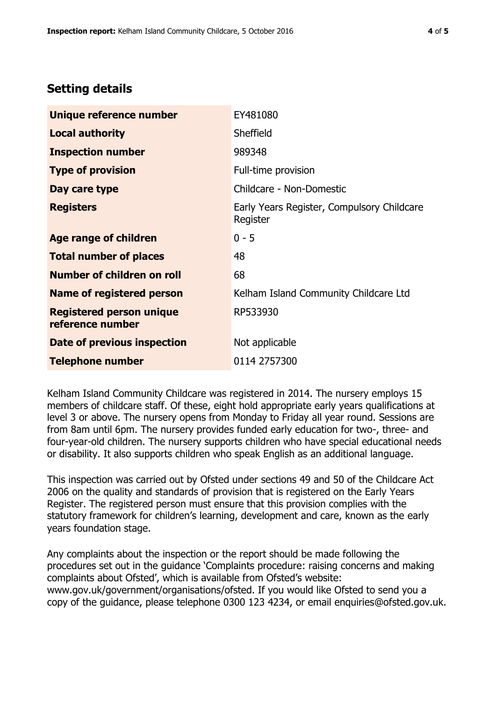# **Setting details**

| Unique reference number                             | EY481080                                               |  |
|-----------------------------------------------------|--------------------------------------------------------|--|
| <b>Local authority</b>                              | Sheffield                                              |  |
| <b>Inspection number</b>                            | 989348                                                 |  |
| <b>Type of provision</b>                            | Full-time provision                                    |  |
| Day care type                                       | Childcare - Non-Domestic                               |  |
| <b>Registers</b>                                    | Early Years Register, Compulsory Childcare<br>Register |  |
| Age range of children                               | $0 - 5$                                                |  |
| <b>Total number of places</b>                       | 48                                                     |  |
| Number of children on roll                          | 68                                                     |  |
| Name of registered person                           | Kelham Island Community Childcare Ltd                  |  |
| <b>Registered person unique</b><br>reference number | RP533930                                               |  |
| Date of previous inspection                         | Not applicable                                         |  |
| <b>Telephone number</b>                             | 0114 2757300                                           |  |

Kelham Island Community Childcare was registered in 2014. The nursery employs 15 members of childcare staff. Of these, eight hold appropriate early years qualifications at level 3 or above. The nursery opens from Monday to Friday all year round. Sessions are from 8am until 6pm. The nursery provides funded early education for two-, three- and four-year-old children. The nursery supports children who have special educational needs or disability. It also supports children who speak English as an additional language.

This inspection was carried out by Ofsted under sections 49 and 50 of the Childcare Act 2006 on the quality and standards of provision that is registered on the Early Years Register. The registered person must ensure that this provision complies with the statutory framework for children's learning, development and care, known as the early years foundation stage.

Any complaints about the inspection or the report should be made following the procedures set out in the guidance 'Complaints procedure: raising concerns and making complaints about Ofsted', which is available from Ofsted's website: www.gov.uk/government/organisations/ofsted. If you would like Ofsted to send you a copy of the guidance, please telephone 0300 123 4234, or email enquiries@ofsted.gov.uk.